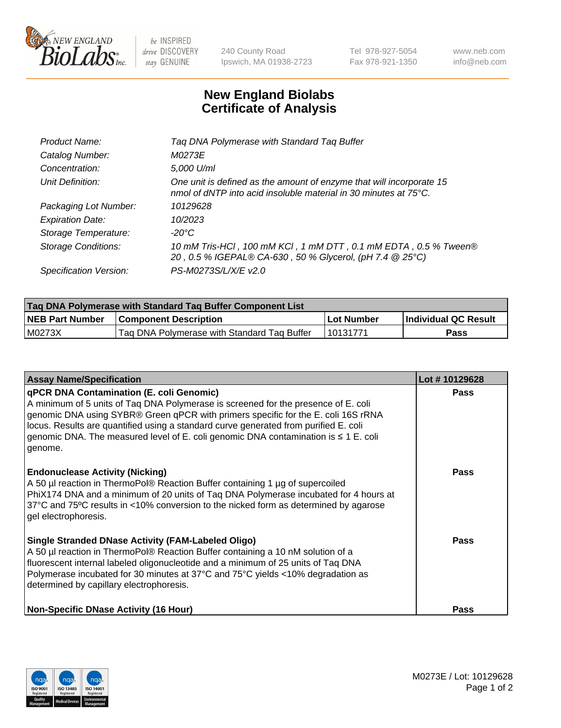

 $be$  INSPIRED drive DISCOVERY stay GENUINE

240 County Road Ipswich, MA 01938-2723 Tel 978-927-5054 Fax 978-921-1350 www.neb.com info@neb.com

## **New England Biolabs Certificate of Analysis**

| Product Name:              | Tag DNA Polymerase with Standard Tag Buffer                                                                                                        |
|----------------------------|----------------------------------------------------------------------------------------------------------------------------------------------------|
| Catalog Number:            | M0273E                                                                                                                                             |
| Concentration:             | 5,000 U/ml                                                                                                                                         |
| Unit Definition:           | One unit is defined as the amount of enzyme that will incorporate 15<br>nmol of dNTP into acid insoluble material in 30 minutes at $75^{\circ}$ C. |
| Packaging Lot Number:      | 10129628                                                                                                                                           |
| <b>Expiration Date:</b>    | 10/2023                                                                                                                                            |
| Storage Temperature:       | $-20^{\circ}$ C                                                                                                                                    |
| <b>Storage Conditions:</b> | 10 mM Tris-HCl, 100 mM KCl, 1 mM DTT, 0.1 mM EDTA, 0.5 % Tween®<br>20, 0.5 % IGEPAL® CA-630, 50 % Glycerol, (pH 7.4 @ 25°C)                        |
| Specification Version:     | PS-M0273S/L/X/E v2.0                                                                                                                               |

| Taq DNA Polymerase with Standard Taq Buffer Component List |                                             |              |                      |  |
|------------------------------------------------------------|---------------------------------------------|--------------|----------------------|--|
| <b>NEB Part Number</b>                                     | <b>Component Description</b>                | l Lot Number | Individual QC Result |  |
| M0273X                                                     | Tag DNA Polymerase with Standard Tag Buffer | 10131771     | Pass                 |  |

| <b>Assay Name/Specification</b>                                                                                                                                                                                                                                                                                                                                                                               | Lot #10129628 |
|---------------------------------------------------------------------------------------------------------------------------------------------------------------------------------------------------------------------------------------------------------------------------------------------------------------------------------------------------------------------------------------------------------------|---------------|
| qPCR DNA Contamination (E. coli Genomic)<br>A minimum of 5 units of Taq DNA Polymerase is screened for the presence of E. coli<br>genomic DNA using SYBR® Green qPCR with primers specific for the E. coli 16S rRNA<br>locus. Results are quantified using a standard curve generated from purified E. coli<br>genomic DNA. The measured level of E. coli genomic DNA contamination is ≤ 1 E. coli<br>genome. | <b>Pass</b>   |
| <b>Endonuclease Activity (Nicking)</b><br>A 50 µl reaction in ThermoPol® Reaction Buffer containing 1 µg of supercoiled<br>PhiX174 DNA and a minimum of 20 units of Tag DNA Polymerase incubated for 4 hours at<br>37°C and 75°C results in <10% conversion to the nicked form as determined by agarose<br>gel electrophoresis.                                                                               | Pass          |
| <b>Single Stranded DNase Activity (FAM-Labeled Oligo)</b><br>A 50 µl reaction in ThermoPol® Reaction Buffer containing a 10 nM solution of a<br>fluorescent internal labeled oligonucleotide and a minimum of 25 units of Taq DNA<br>Polymerase incubated for 30 minutes at 37°C and 75°C yields <10% degradation as<br>determined by capillary electrophoresis.                                              | Pass          |
| <b>Non-Specific DNase Activity (16 Hour)</b>                                                                                                                                                                                                                                                                                                                                                                  | <b>Pass</b>   |